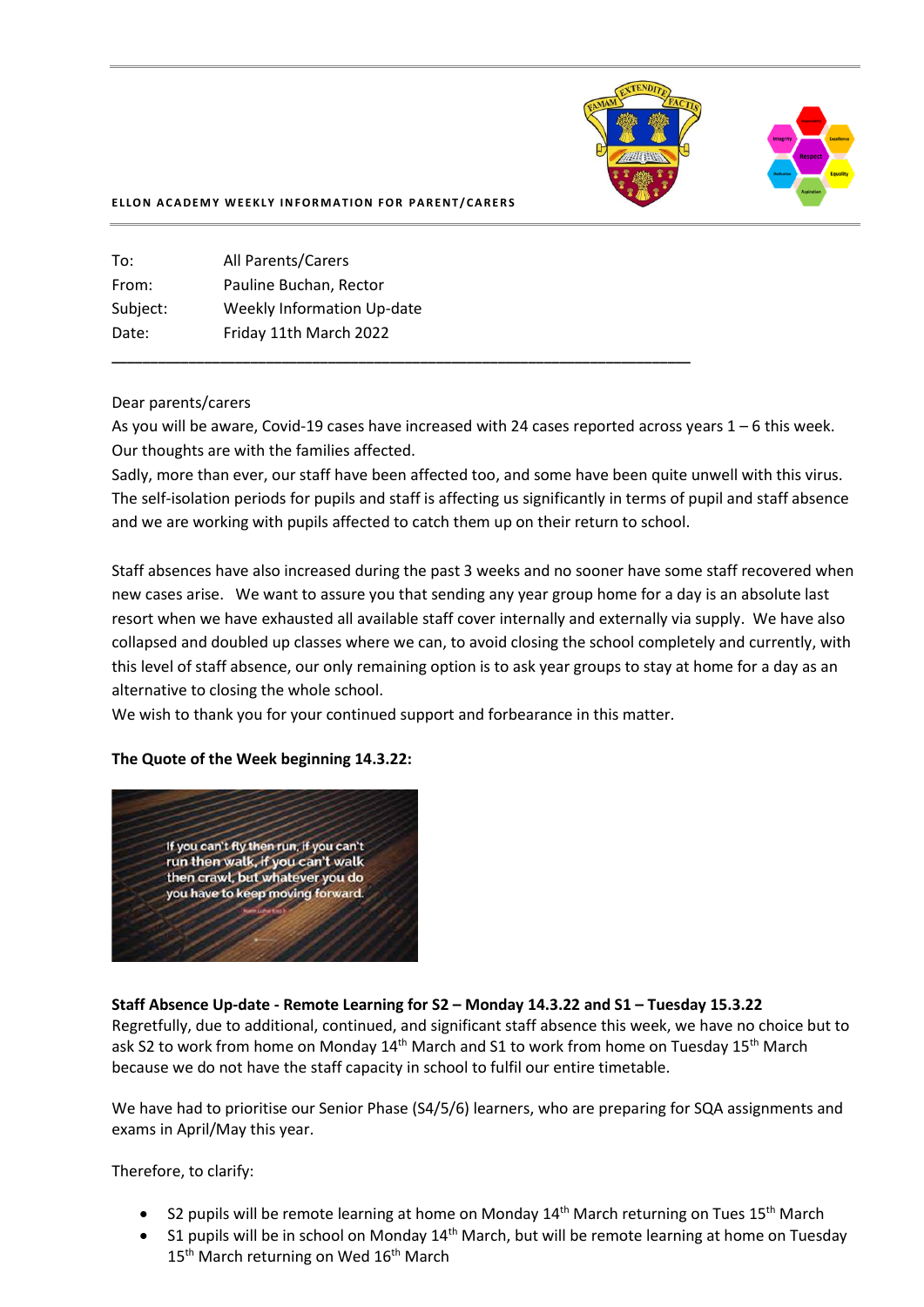

#### **ELLON ACADEMY WEEKLY INFORMATION FOR PARENT/CARERS**

| To:      | All Parents/Carers                |
|----------|-----------------------------------|
| From:    | Pauline Buchan, Rector            |
| Subject: | <b>Weekly Information Up-date</b> |
| Date:    | Friday 11th March 2022            |
|          |                                   |

#### Dear parents/carers

As you will be aware, Covid-19 cases have increased with 24 cases reported across years 1 – 6 this week. Our thoughts are with the families affected.

Sadly, more than ever, our staff have been affected too, and some have been quite unwell with this virus. The self-isolation periods for pupils and staff is affecting us significantly in terms of pupil and staff absence and we are working with pupils affected to catch them up on their return to school.

Staff absences have also increased during the past 3 weeks and no sooner have some staff recovered when new cases arise. We want to assure you that sending any year group home for a day is an absolute last resort when we have exhausted all available staff cover internally and externally via supply. We have also collapsed and doubled up classes where we can, to avoid closing the school completely and currently, with this level of staff absence, our only remaining option is to ask year groups to stay at home for a day as an alternative to closing the whole school.

We wish to thank you for your continued support and forbearance in this matter.

**\_\_\_\_\_\_\_\_\_\_\_\_\_\_\_\_\_\_\_\_\_\_\_\_\_\_\_\_\_\_\_\_\_\_\_\_\_\_\_\_\_\_\_\_\_\_\_\_\_\_\_\_\_\_\_\_\_\_\_\_\_\_\_\_\_\_\_\_\_\_\_\_\_\_\_**

### **The Quote of the Week beginning 14.3.22:**



### **Staff Absence Up-date - Remote Learning for S2 – Monday 14.3.22 and S1 – Tuesday 15.3.22**

Regretfully, due to additional, continued, and significant staff absence this week, we have no choice but to ask S2 to work from home on Monday 14<sup>th</sup> March and S1 to work from home on Tuesday 15<sup>th</sup> March because we do not have the staff capacity in school to fulfil our entire timetable.

We have had to prioritise our Senior Phase (S4/5/6) learners, who are preparing for SQA assignments and exams in April/May this year.

Therefore, to clarify:

- S2 pupils will be remote learning at home on Monday  $14<sup>th</sup>$  March returning on Tues  $15<sup>th</sup>$  March
- S1 pupils will be in school on Monday 14<sup>th</sup> March, but will be remote learning at home on Tuesday 15<sup>th</sup> March returning on Wed 16<sup>th</sup> March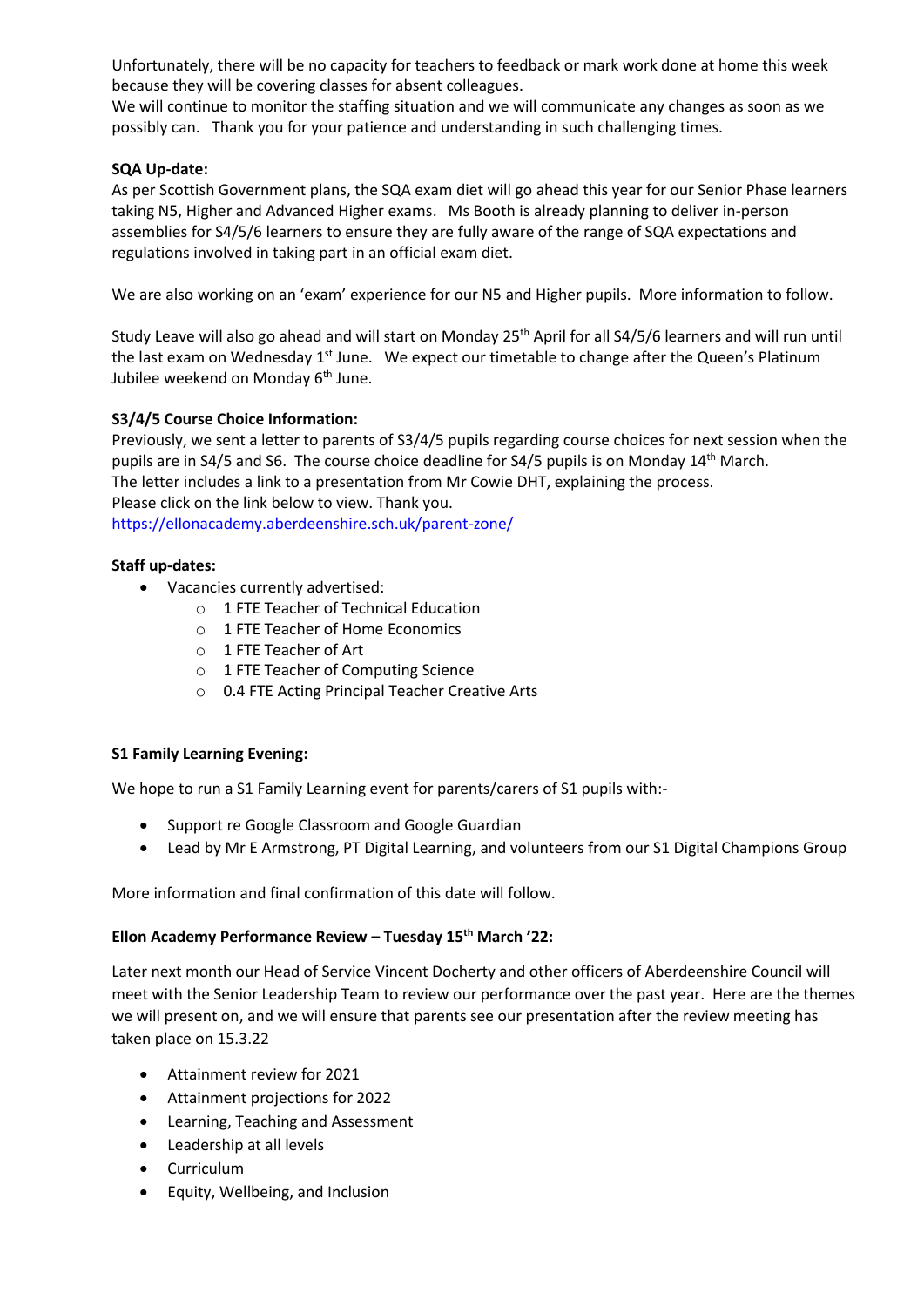Unfortunately, there will be no capacity for teachers to feedback or mark work done at home this week because they will be covering classes for absent colleagues.

We will continue to monitor the staffing situation and we will communicate any changes as soon as we possibly can. Thank you for your patience and understanding in such challenging times.

## **SQA Up-date:**

As per Scottish Government plans, the SQA exam diet will go ahead this year for our Senior Phase learners taking N5, Higher and Advanced Higher exams. Ms Booth is already planning to deliver in-person assemblies for S4/5/6 learners to ensure they are fully aware of the range of SQA expectations and regulations involved in taking part in an official exam diet.

We are also working on an 'exam' experience for our N5 and Higher pupils. More information to follow.

Study Leave will also go ahead and will start on Monday 25<sup>th</sup> April for all S4/5/6 learners and will run until the last exam on Wednesday 1<sup>st</sup> June. We expect our timetable to change after the Queen's Platinum Jubilee weekend on Monday 6<sup>th</sup> June.

## **S3/4/5 Course Choice Information:**

Previously, we sent a letter to parents of S3/4/5 pupils regarding course choices for next session when the pupils are in S4/5 and S6. The course choice deadline for S4/5 pupils is on Monday 14th March. The letter includes a link to a presentation from Mr Cowie DHT, explaining the process. Please click on the link below to view. Thank you. [https://ellonacademy.aberdeenshire.sch.uk/parent-zone/](https://ellonacademy.aberdeenshire.sch.uk/parent-zone/?fbclid=IwAR3O9NlEYzADvLSn3vspwAxkaDsvl_qmk7JvWM_vdj83tl8OfTiQZ5ujbQY)

## **Staff up-dates:**

- Vacancies currently advertised:
	- o 1 FTE Teacher of Technical Education
	- o 1 FTE Teacher of Home Economics
	- o 1 FTE Teacher of Art
	- o 1 FTE Teacher of Computing Science
	- o 0.4 FTE Acting Principal Teacher Creative Arts

### **S1 Family Learning Evening:**

We hope to run a S1 Family Learning event for parents/carers of S1 pupils with:-

- Support re Google Classroom and Google Guardian
- Lead by Mr E Armstrong, PT Digital Learning, and volunteers from our S1 Digital Champions Group

More information and final confirmation of this date will follow.

## **Ellon Academy Performance Review – Tuesday 15th March '22:**

Later next month our Head of Service Vincent Docherty and other officers of Aberdeenshire Council will meet with the Senior Leadership Team to review our performance over the past year. Here are the themes we will present on, and we will ensure that parents see our presentation after the review meeting has taken place on 15.3.22

- Attainment review for 2021
- Attainment projections for 2022
- Learning, Teaching and Assessment
- Leadership at all levels
- Curriculum
- Equity, Wellbeing, and Inclusion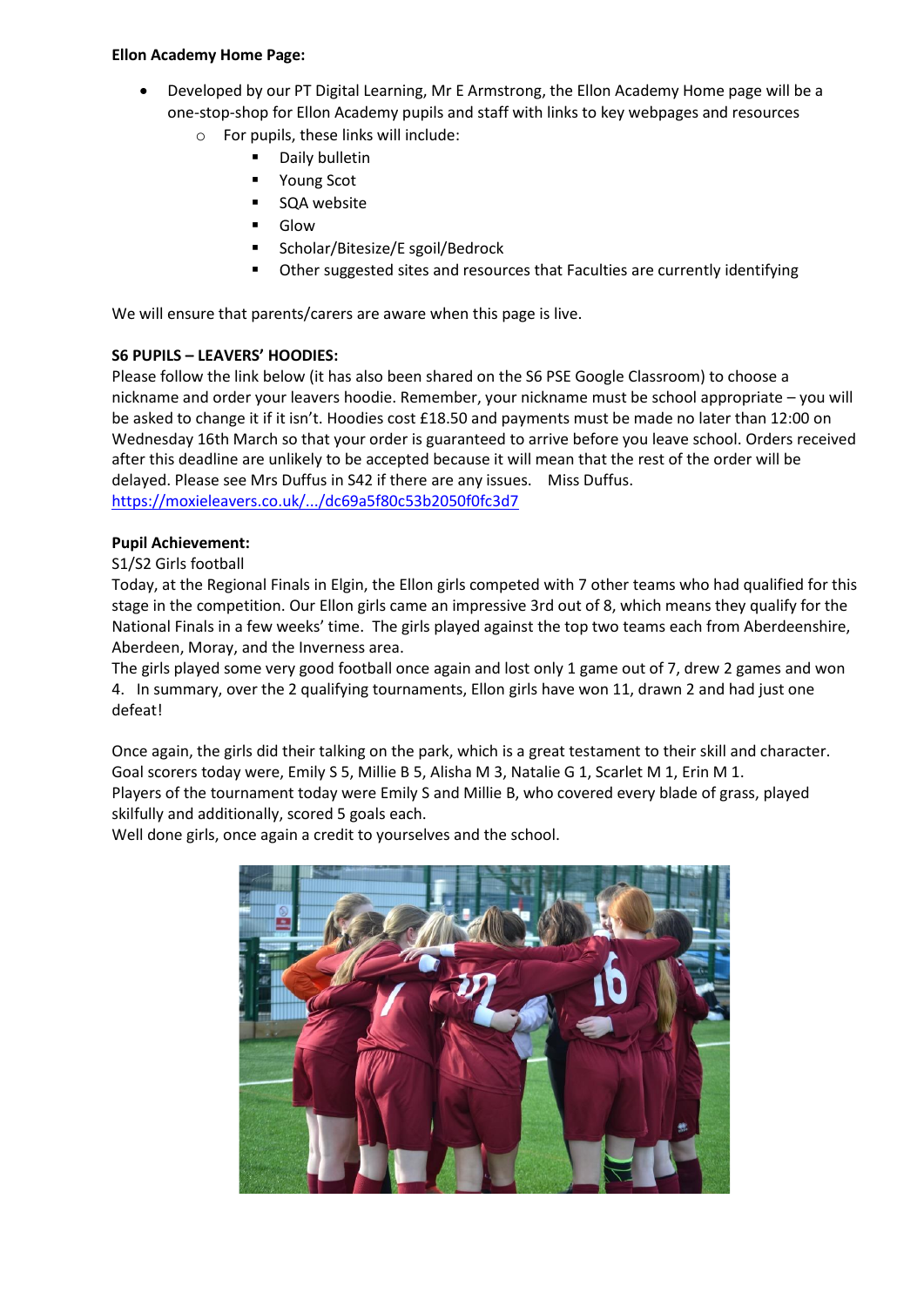## **Ellon Academy Home Page:**

- Developed by our PT Digital Learning, Mr E Armstrong, the Ellon Academy Home page will be a one-stop-shop for Ellon Academy pupils and staff with links to key webpages and resources
	- o For pupils, these links will include:
		- Daily bulletin
		- Young Scot
		- SQA website
		- **Glow**
		- Scholar/Bitesize/E sgoil/Bedrock
		- Other suggested sites and resources that Faculties are currently identifying

We will ensure that parents/carers are aware when this page is live.

# **S6 PUPILS – LEAVERS' HOODIES:**

Please follow the link below (it has also been shared on the S6 PSE Google Classroom) to choose a nickname and order your leavers hoodie. Remember, your nickname must be school appropriate – you will be asked to change it if it isn't. Hoodies cost £18.50 and payments must be made no later than 12:00 on Wednesday 16th March so that your order is guaranteed to arrive before you leave school. Orders received after this deadline are unlikely to be accepted because it will mean that the rest of the order will be delayed. Please see Mrs Duffus in S42 if there are any issues. Miss Duffus. [https://moxieleavers.co.uk/.../dc69a5f80c53b2050f0fc3d7](https://moxieleavers.co.uk/hoodie/OMnE23VDUJsiFH7tOZ0U/dc69a5f80c53b2050f0fc3d7?fbclid=IwAR1zMwQrRyNSzYnfZlKdANaOIse8StFLXEBoYQ0DQ-Hii_j_7y9EKa_kVqU)

## **Pupil Achievement:**

# S1/S2 Girls football

Today, at the Regional Finals in Elgin, the Ellon girls competed with 7 other teams who had qualified for this stage in the competition. Our Ellon girls came an impressive 3rd out of 8, which means they qualify for the National Finals in a few weeks' time. The girls played against the top two teams each from Aberdeenshire, Aberdeen, Moray, and the Inverness area.

The girls played some very good football once again and lost only 1 game out of 7, drew 2 games and won 4. In summary, over the 2 qualifying tournaments, Ellon girls have won 11, drawn 2 and had just one defeat!

Once again, the girls did their talking on the park, which is a great testament to their skill and character. Goal scorers today were, Emily S 5, Millie B 5, Alisha M 3, Natalie G 1, Scarlet M 1, Erin M 1. Players of the tournament today were Emily S and Millie B, who covered every blade of grass, played skilfully and additionally, scored 5 goals each.

Well done girls, once again a credit to yourselves and the school.

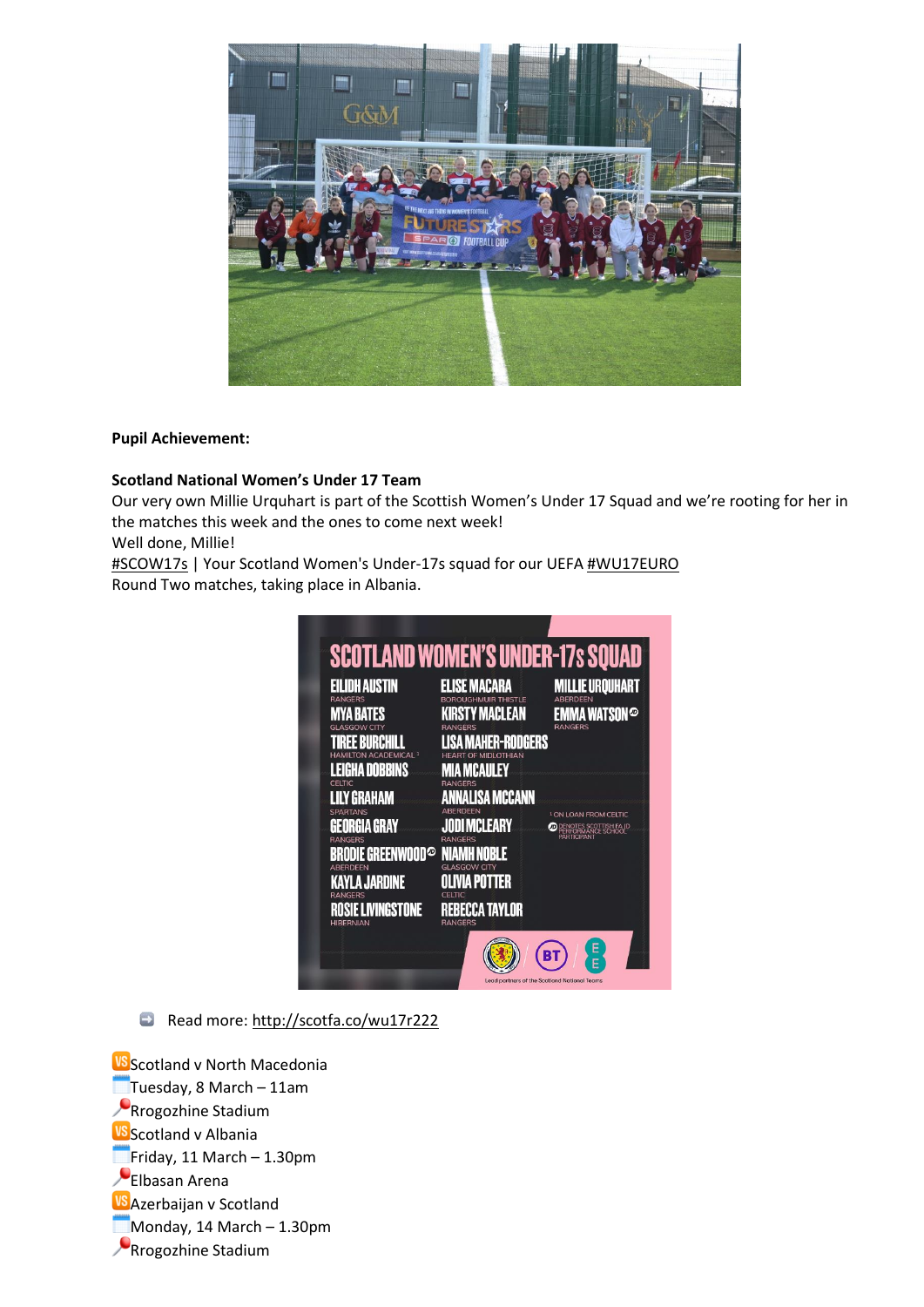

## **Pupil Achievement:**

## **Scotland National [Women's](https://www.facebook.com/scotlandnationalteam/?__cft__%5b0%5d=AZWBCSP98KJpOXJFBUllVgQ4tn0K6U-iSswc1EMReyNWe_pCW5E7eQuIaowTNjkJsxTMn5dger18vMywPxr8MjAt1__t5rW9AtbEqEg3x9JEZgZypq7D62774oMuYzHUCWNme0VfQH5Xv9PssxCjsf8_m-TkIAJ9UxQ8O_9RN-3O7xdzJIEmNvgSeKUzPf-BOB0fHADkbuQoFB9ioNtJbfMIGR2pqEcLMkrVlVknKYX1vQ&__tn__=-UC%2CP-y-R) Under 17 Team**

Our very own Millie Urquhart is part of the Scottish Women's Under 17 Squad and we're rooting for her in the matches this week and the ones to come next week!

Well done, Millie!

[#SCOW17s](https://www.facebook.com/hashtag/scow17s?__eep__=6&__cft__%5b0%5d=AZWBCSP98KJpOXJFBUllVgQ4tn0K6U-iSswc1EMReyNWe_pCW5E7eQuIaowTNjkJsxTMn5dger18vMywPxr8MjAt1__t5rW9AtbEqEg3x9JEZgZypq7D62774oMuYzHUCWNme0VfQH5Xv9PssxCjsf8_m-TkIAJ9UxQ8O_9RN-3O7xdzJIEmNvgSeKUzPf-BOB0fHADkbuQoFB9ioNtJbfMIGR2pqEcLMkrVlVknKYX1vQ&__tn__=*NK-y-R) | Your Scotland Women's Under-17s squad for our UEF[A #WU17EURO](https://www.facebook.com/hashtag/wu17euro?__eep__=6&__cft__%5b0%5d=AZWBCSP98KJpOXJFBUllVgQ4tn0K6U-iSswc1EMReyNWe_pCW5E7eQuIaowTNjkJsxTMn5dger18vMywPxr8MjAt1__t5rW9AtbEqEg3x9JEZgZypq7D62774oMuYzHUCWNme0VfQH5Xv9PssxCjsf8_m-TkIAJ9UxQ8O_9RN-3O7xdzJIEmNvgSeKUzPf-BOB0fHADkbuQoFB9ioNtJbfMIGR2pqEcLMkrVlVknKYX1vQ&__tn__=*NK-y-R) Round Two matches, taking place in Albania.

| <b>EILIDH AUSTIN</b><br><b>RANGERS</b>                                 | ELISE MACARA                                          | Millie Urquhart<br><b>ABERDEEN</b>                                               |
|------------------------------------------------------------------------|-------------------------------------------------------|----------------------------------------------------------------------------------|
| MYA RATES                                                              | <b>RSTY MACLEAN</b>                                   | EMMA WATSON $\circledcirc$                                                       |
| <b>ASGOW CITY</b><br>RFF RIIRCHILI<br>HAMILTON ACADEMICAL <sup>1</sup> | <b>RANGERS</b><br><b>Maher-Rodgers</b><br>ΜΙΩΙ ΟΤΗΙΔΝ | <b>RANGERS</b>                                                                   |
| Leigha Dobbins<br>CELTIC                                               | MCAULEY                                               |                                                                                  |
| <b>LILY GRAHAM</b><br>SPARTANS                                         | <b>RANGERS</b><br>ANNALISA MCCANN                     |                                                                                  |
| GEORGIA GRAY                                                           | <b>JODI MCLEARY</b>                                   | <sup>1</sup> ON LOAN FROM CELTIC<br>DENOTES SCOTTISH FA JD<br>PERFORMANCE SCHOOL |
| <b>RANGERS</b><br><b>BRODIE GREENWOOD®</b><br>ABERDEEN                 | <b>RANGERS</b><br>Niamh Noble<br><b>GLASGOW CITY</b>  | PARTICIPANT                                                                      |
| <b>KAYLA JARDINE</b>                                                   | IVIA POTTER.                                          |                                                                                  |
| RANGERS<br><b>ISIE LIVINGSTONE</b><br><b>HIRFRNIAN</b>                 | CELTIC<br><b>REBECCA TAYLOR</b><br><b>RANGERS</b>     |                                                                                  |

Read more: [http://scotfa.co/wu17r222](http://scotfa.co/wu17r222?fbclid=IwAR09kpOVKrBkFb08h3ophR3EDfsU4SS1bF5n_rde9UEUJx7uH_d6PlTzSAA)

**VS** Scotland v North Macedonia  $\blacksquare$ Tuesday, 8 March – 11am Rrogozhine Stadium **VS** Scotland v Albania  $Friday, 11 March - 1.30pm$ Elbasan Arena **VS** Azerbaijan v Scotland Monday, 14 March - 1.30pm **Rrogozhine Stadium**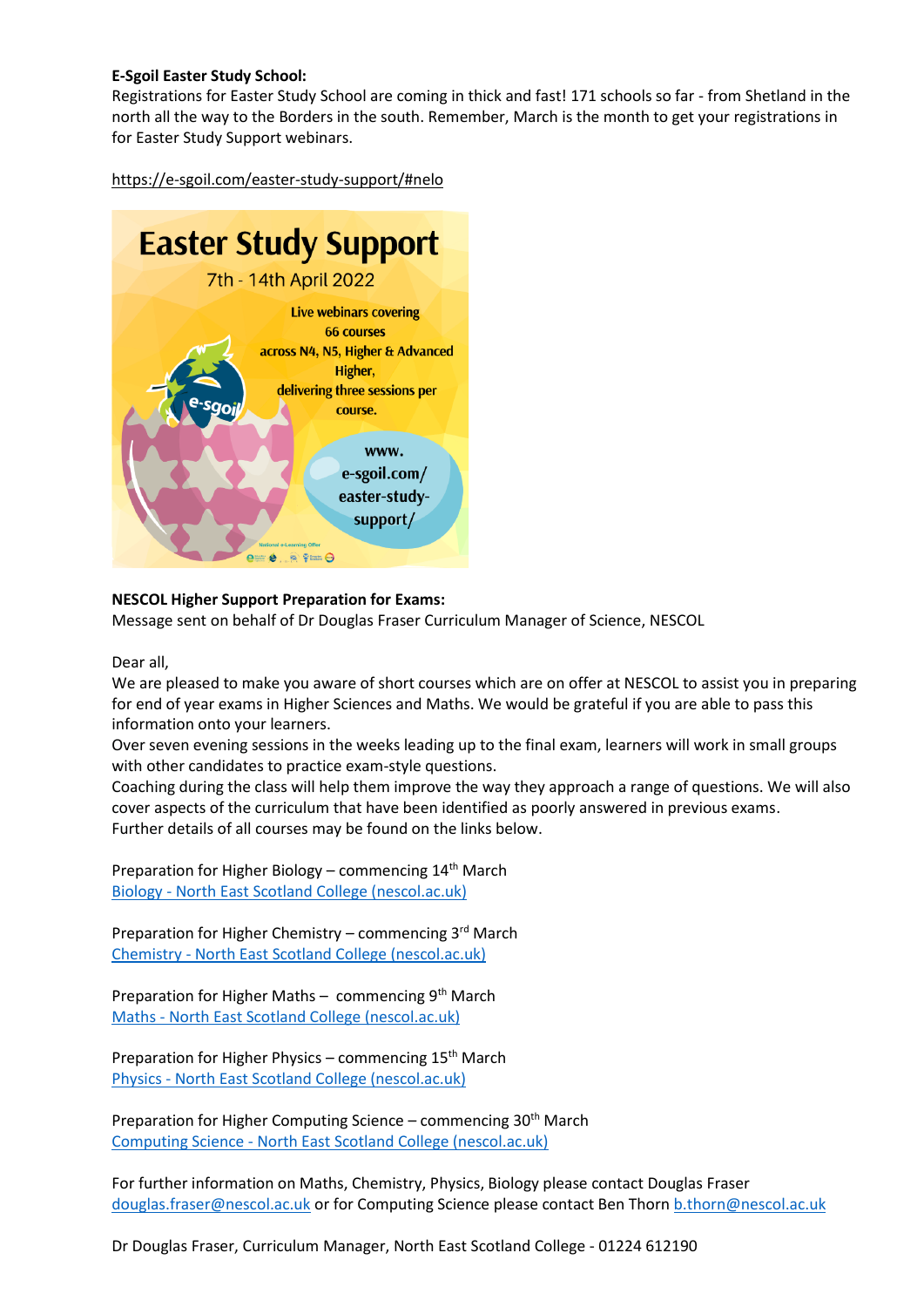## **[E-Sgoil](https://www.facebook.com/eSgoil/?__cft__%5b0%5d=AZUUPYIWGGHRyTHjk47nu6ritchsdr74bMqzsUnws_2BI8NPAisz_-wD5oSPitEHtMf5GRRRhNtPPjwZwKpDNSzmNl464GE2aXlLaROgycTWFtDcWMyFDxv7ecIIvfXKizKBygZQSJaDDQWr3DBaUYsA1ygT9xOn4we0fOalWg8-6fOZ6yzRrgZGpySWj4FrR8Avqh2i1m6wrZI2ZJpsFTCzI9pkm2xUnC6berIYUhVazA&__tn__=-UC%2CP-y-R) Easter Study School:**

Registrations for Easter Study School are coming in thick and fast! 171 schools so far - from Shetland in the north all the way to the Borders in the south. Remember, March is the month to get your registrations in for Easter Study Support webinars.

[https://e-sgoil.com/easter-study-support/](https://e-sgoil.com/easter-study-support/?fbclid=IwAR2gzKKvbnQ8XjKnsxPIamEzEC0P33RS6531v_B7oe-zFt1UPgNosCUoA7c)[#nelo](https://www.facebook.com/hashtag/nelo?__eep__=6&__cft__%5b0%5d=AZUUPYIWGGHRyTHjk47nu6ritchsdr74bMqzsUnws_2BI8NPAisz_-wD5oSPitEHtMf5GRRRhNtPPjwZwKpDNSzmNl464GE2aXlLaROgycTWFtDcWMyFDxv7ecIIvfXKizKBygZQSJaDDQWr3DBaUYsA1ygT9xOn4we0fOalWg8-6fOZ6yzRrgZGpySWj4FrR8Avqh2i1m6wrZI2ZJpsFTCzI9pkm2xUnC6berIYUhVazA&__tn__=*NK-y-R)



## **NESCOL Higher Support Preparation for Exams:**

Message sent on behalf of Dr Douglas Fraser Curriculum Manager of Science, NESCOL

Dear all,

We are pleased to make you aware of short courses which are on offer at NESCOL to assist you in preparing for end of year exams in Higher Sciences and Maths. We would be grateful if you are able to pass this information onto your learners.

Over seven evening sessions in the weeks leading up to the final exam, learners will work in small groups with other candidates to practice exam-style questions.

Coaching during the class will help them improve the way they approach a range of questions. We will also cover aspects of the curriculum that have been identified as poorly answered in previous exams. Further details of all courses may be found on the links below.

Preparation for Higher Biology – commencing 14th March Biology - [North East Scotland College \(nescol.ac.uk\)](https://eur02.safelinks.protection.outlook.com/?url=https%3A%2F%2Fwww.nescol.ac.uk%2Fcourses%2Fpreparation-for-biology-higher-exam%2F&data=04%7C01%7CR.Stirling%40nescol.ac.uk%7C55ec69b32d8d480997dd08d9e0da646d%7Cb8c4db000d5040e1b5eb7b8290a8b9bb%7C0%7C0%7C637788050853101916%7CUnknown%7CTWFpbGZsb3d8eyJWIjoiMC4wLjAwMDAiLCJQIjoiV2luMzIiLCJBTiI6Ik1haWwiLCJXVCI6Mn0%3D%7C3000&sdata=xBVpnZ7XGWcMAnhQDOk5GRk1pG6%2B17yLfY35GhjbRr4%3D&reserved=0)

Preparation for Higher Chemistry – commencing  $3^{rd}$  March Chemistry - [North East Scotland College \(nescol.ac.uk\)](https://eur02.safelinks.protection.outlook.com/?url=https%3A%2F%2Fwww.nescol.ac.uk%2Fcourses%2Fpreparation-for-chemistry-higher-exam%2F&data=04%7C01%7CR.Stirling%40nescol.ac.uk%7C55ec69b32d8d480997dd08d9e0da646d%7Cb8c4db000d5040e1b5eb7b8290a8b9bb%7C0%7C0%7C637788050853101916%7CUnknown%7CTWFpbGZsb3d8eyJWIjoiMC4wLjAwMDAiLCJQIjoiV2luMzIiLCJBTiI6Ik1haWwiLCJXVCI6Mn0%3D%7C3000&sdata=glEpc1xWLut4ELCdgN5hVvqQivS7Vbrbmun7cEb9F9Y%3D&reserved=0)

Preparation for Higher Maths – commencing  $9<sup>th</sup>$  March Maths - [North East Scotland College \(nescol.ac.uk\)](https://eur02.safelinks.protection.outlook.com/?url=https%3A%2F%2Fwww.nescol.ac.uk%2Fcourses%2Fpreparation-for-maths-higher-exam%2F&data=04%7C01%7CR.Stirling%40nescol.ac.uk%7C55ec69b32d8d480997dd08d9e0da646d%7Cb8c4db000d5040e1b5eb7b8290a8b9bb%7C0%7C0%7C637788050853101916%7CUnknown%7CTWFpbGZsb3d8eyJWIjoiMC4wLjAwMDAiLCJQIjoiV2luMzIiLCJBTiI6Ik1haWwiLCJXVCI6Mn0%3D%7C3000&sdata=Lx7e0NW8y%2BkLpSoiNpiX2QiMoQsLwbHNmCNGMhKDk6c%3D&reserved=0)

Preparation for Higher Physics – commencing 15<sup>th</sup> March Physics - [North East Scotland College \(nescol.ac.uk\)](https://eur02.safelinks.protection.outlook.com/?url=https%3A%2F%2Fwww.nescol.ac.uk%2Fcourses%2Fpreparation-for-physics-higher-exam%2F&data=04%7C01%7CR.Stirling%40nescol.ac.uk%7C55ec69b32d8d480997dd08d9e0da646d%7Cb8c4db000d5040e1b5eb7b8290a8b9bb%7C0%7C0%7C637788050853101916%7CUnknown%7CTWFpbGZsb3d8eyJWIjoiMC4wLjAwMDAiLCJQIjoiV2luMzIiLCJBTiI6Ik1haWwiLCJXVCI6Mn0%3D%7C3000&sdata=gix9h6GkYfiy8rLnzbtgtdq7XvBdlSYC1IQOJJ2D5LI%3D&reserved=0)

Preparation for Higher Computing Science – commencing 30<sup>th</sup> March Computing Science - [North East Scotland College \(nescol.ac.uk\)](https://eur02.safelinks.protection.outlook.com/?url=https%3A%2F%2Fwww.nescol.ac.uk%2Fcourses%2Fpreparation-for-computing-science-higher-exam%2F&data=04%7C01%7CR.Stirling%40nescol.ac.uk%7C55ec69b32d8d480997dd08d9e0da646d%7Cb8c4db000d5040e1b5eb7b8290a8b9bb%7C0%7C0%7C637788050853101916%7CUnknown%7CTWFpbGZsb3d8eyJWIjoiMC4wLjAwMDAiLCJQIjoiV2luMzIiLCJBTiI6Ik1haWwiLCJXVCI6Mn0%3D%7C3000&sdata=Cowqku953v9G%2FKzvWzCtms8tFAgm9HVZ5%2BCngfVl%2FAI%3D&reserved=0)

For further information on Maths, Chemistry, Physics, Biology please contact Douglas Fraser [douglas.fraser@nescol.ac.uk](mailto:douglas.fraser@nescol.ac.uk) or for Computing Science please contact Ben Thorn [b.thorn@nescol.ac.uk](mailto:b.thorn@nescol.ac.uk)

Dr Douglas Fraser, Curriculum Manager, North East Scotland College - 01224 612190